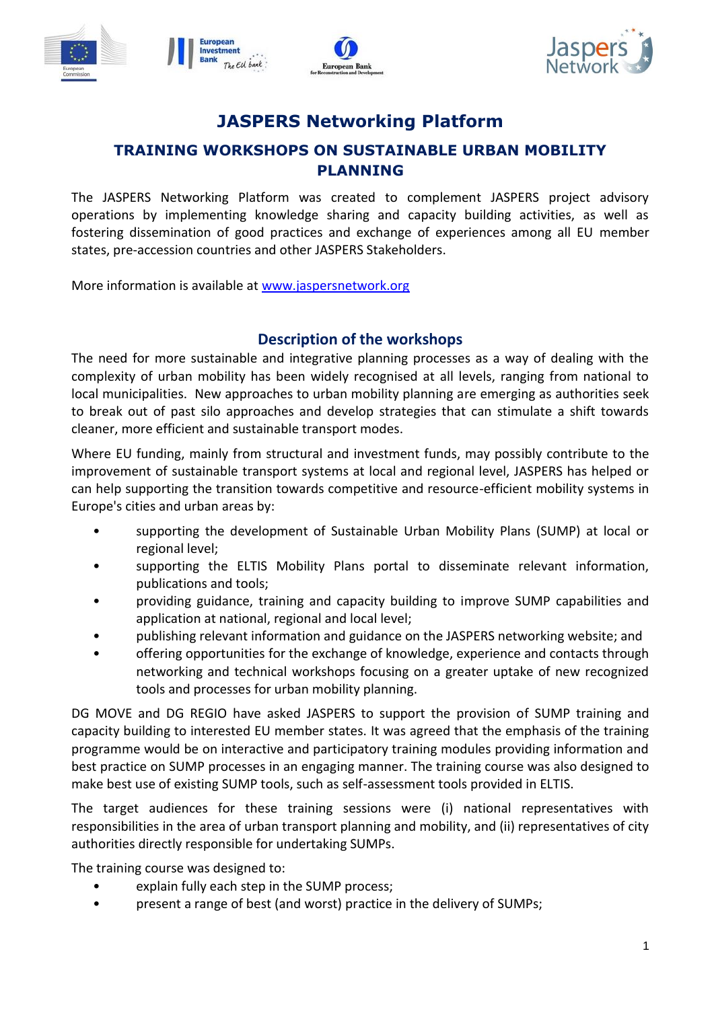





## **JASPERS Networking Platform**

## **TRAINING WORKSHOPS ON SUSTAINABLE URBAN MOBILITY PLANNING**

The JASPERS Networking Platform was created to complement JASPERS project advisory operations by implementing knowledge sharing and capacity building activities, as well as fostering dissemination of good practices and exchange of experiences among all EU member states, pre-accession countries and other JASPERS Stakeholders.

More information is available at [www.jaspersnetwork.org](http://www.jaspersnetwork.org/) 

### **Description of the workshops**

The need for more sustainable and integrative planning processes as a way of dealing with the complexity of urban mobility has been widely recognised at all levels, ranging from national to local municipalities. New approaches to urban mobility planning are emerging as authorities seek to break out of past silo approaches and develop strategies that can stimulate a shift towards cleaner, more efficient and sustainable transport modes.

Where EU funding, mainly from structural and investment funds, may possibly contribute to the improvement of sustainable transport systems at local and regional level, JASPERS has helped or can help supporting the transition towards competitive and resource-efficient mobility systems in Europe's cities and urban areas by:

- supporting the development of Sustainable Urban Mobility Plans (SUMP) at local or regional level;
- supporting the ELTIS Mobility Plans portal to disseminate relevant information, publications and tools;
- providing guidance, training and capacity building to improve SUMP capabilities and application at national, regional and local level;
- publishing relevant information and guidance on the JASPERS networking website; and
- offering opportunities for the exchange of knowledge, experience and contacts through networking and technical workshops focusing on a greater uptake of new recognized tools and processes for urban mobility planning.

DG MOVE and DG REGIO have asked JASPERS to support the provision of SUMP training and capacity building to interested EU member states. It was agreed that the emphasis of the training programme would be on interactive and participatory training modules providing information and best practice on SUMP processes in an engaging manner. The training course was also designed to make best use of existing SUMP tools, such as self-assessment tools provided in ELTIS.

The target audiences for these training sessions were (i) national representatives with responsibilities in the area of urban transport planning and mobility, and (ii) representatives of city authorities directly responsible for undertaking SUMPs.

The training course was designed to:

- explain fully each step in the SUMP process;
- present a range of best (and worst) practice in the delivery of SUMPs;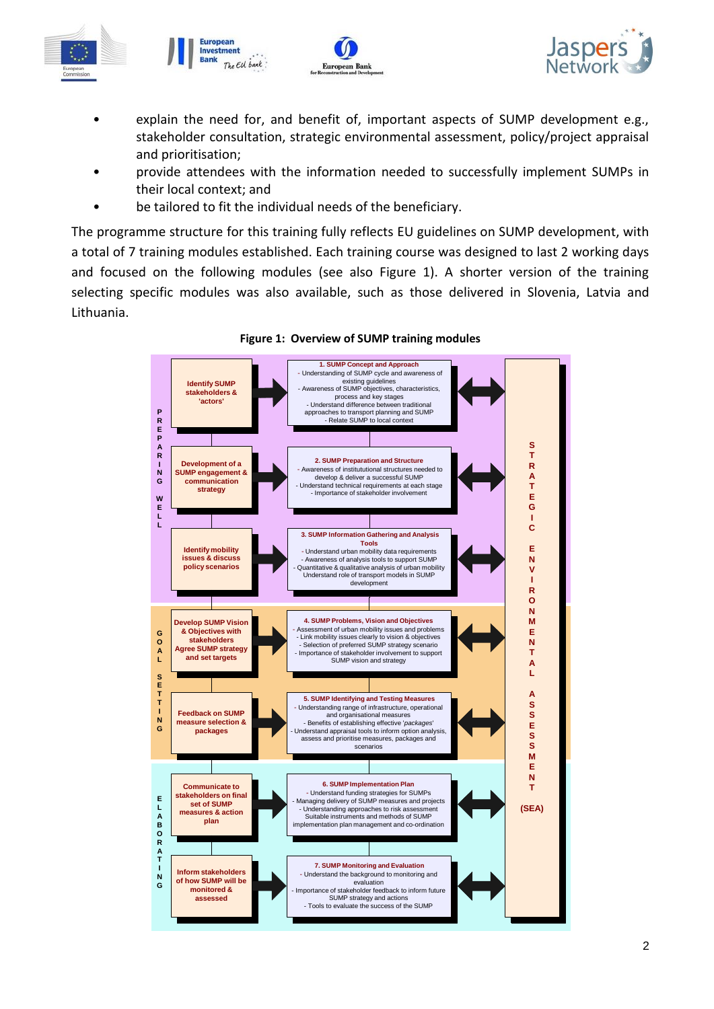





- explain the need for, and benefit of, important aspects of SUMP development e.g., stakeholder consultation, strategic environmental assessment, policy/project appraisal and prioritisation;
- provide attendees with the information needed to successfully implement SUMPs in their local context; and
- be tailored to fit the individual needs of the beneficiary.

The programme structure for this training fully reflects EU guidelines on SUMP development, with a total of 7 training modules established. Each training course was designed to last 2 working days and focused on the following modules (see also Figure 1). A shorter version of the training selecting specific modules was also available, such as those delivered in Slovenia, Latvia and Lithuania.



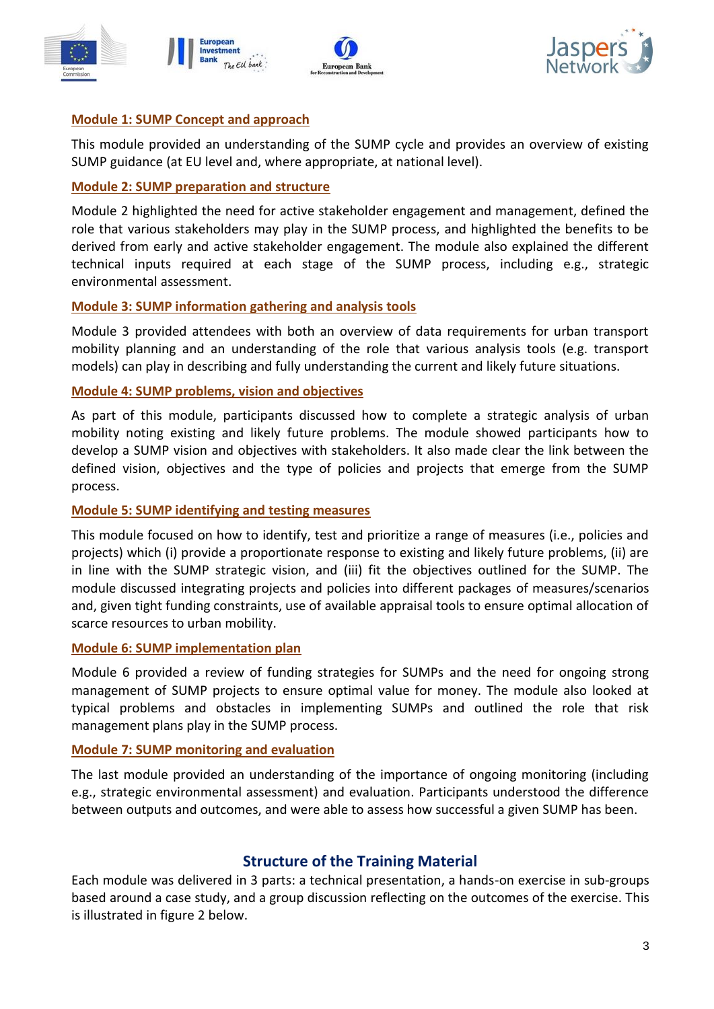





#### **Module 1: SUMP Concept and approach**

This module provided an understanding of the SUMP cycle and provides an overview of existing SUMP guidance (at EU level and, where appropriate, at national level).

#### **Module 2: SUMP preparation and structure**

Module 2 highlighted the need for active stakeholder engagement and management, defined the role that various stakeholders may play in the SUMP process, and highlighted the benefits to be derived from early and active stakeholder engagement. The module also explained the different technical inputs required at each stage of the SUMP process, including e.g., strategic environmental assessment.

#### **Module 3: SUMP information gathering and analysis tools**

Module 3 provided attendees with both an overview of data requirements for urban transport mobility planning and an understanding of the role that various analysis tools (e.g. transport models) can play in describing and fully understanding the current and likely future situations.

#### **Module 4: SUMP problems, vision and objectives**

As part of this module, participants discussed how to complete a strategic analysis of urban mobility noting existing and likely future problems. The module showed participants how to develop a SUMP vision and objectives with stakeholders. It also made clear the link between the defined vision, objectives and the type of policies and projects that emerge from the SUMP process.

#### **Module 5: SUMP identifying and testing measures**

This module focused on how to identify, test and prioritize a range of measures (i.e., policies and projects) which (i) provide a proportionate response to existing and likely future problems, (ii) are in line with the SUMP strategic vision, and (iii) fit the objectives outlined for the SUMP. The module discussed integrating projects and policies into different packages of measures/scenarios and, given tight funding constraints, use of available appraisal tools to ensure optimal allocation of scarce resources to urban mobility.

#### **Module 6: SUMP implementation plan**

Module 6 provided a review of funding strategies for SUMPs and the need for ongoing strong management of SUMP projects to ensure optimal value for money. The module also looked at typical problems and obstacles in implementing SUMPs and outlined the role that risk management plans play in the SUMP process.

#### **Module 7: SUMP monitoring and evaluation**

The last module provided an understanding of the importance of ongoing monitoring (including e.g., strategic environmental assessment) and evaluation. Participants understood the difference between outputs and outcomes, and were able to assess how successful a given SUMP has been.

### **Structure of the Training Material**

Each module was delivered in 3 parts: a technical presentation, a hands-on exercise in sub-groups based around a case study, and a group discussion reflecting on the outcomes of the exercise. This is illustrated in figure 2 below.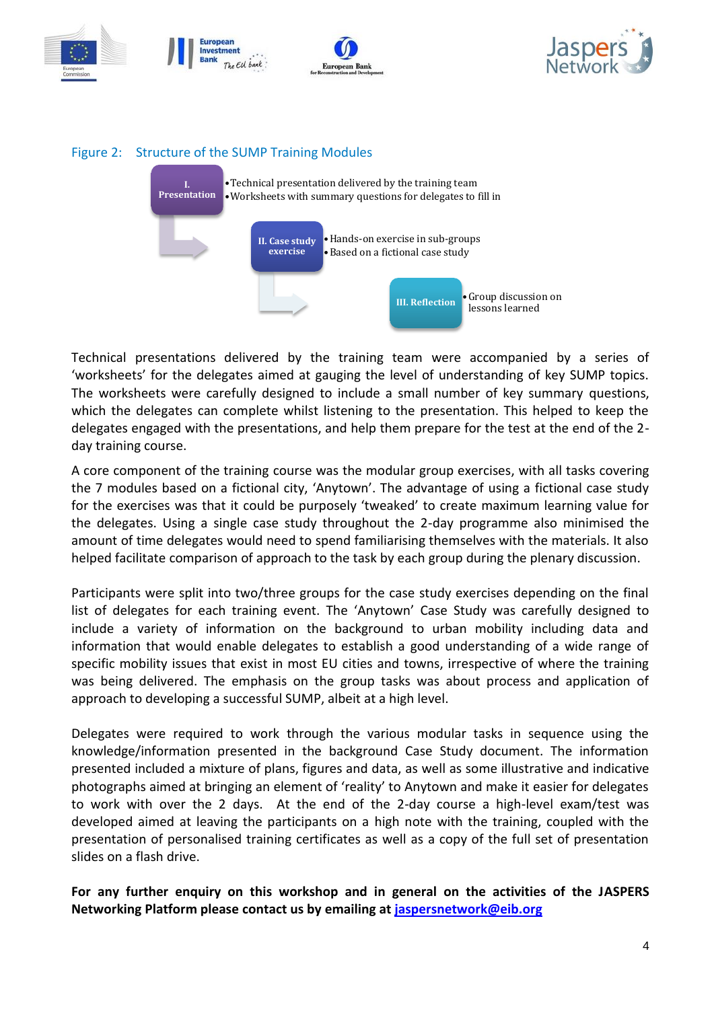





Technical presentations delivered by the training team were accompanied by a series of 'worksheets' for the delegates aimed at gauging the level of understanding of key SUMP topics. The worksheets were carefully designed to include a small number of key summary questions, which the delegates can complete whilst listening to the presentation. This helped to keep the delegates engaged with the presentations, and help them prepare for the test at the end of the 2 day training course.

A core component of the training course was the modular group exercises, with all tasks covering the 7 modules based on a fictional city, 'Anytown'. The advantage of using a fictional case study for the exercises was that it could be purposely 'tweaked' to create maximum learning value for the delegates. Using a single case study throughout the 2-day programme also minimised the amount of time delegates would need to spend familiarising themselves with the materials. It also helped facilitate comparison of approach to the task by each group during the plenary discussion.

Participants were split into two/three groups for the case study exercises depending on the final list of delegates for each training event. The 'Anytown' Case Study was carefully designed to include a variety of information on the background to urban mobility including data and information that would enable delegates to establish a good understanding of a wide range of specific mobility issues that exist in most EU cities and towns, irrespective of where the training was being delivered. The emphasis on the group tasks was about process and application of approach to developing a successful SUMP, albeit at a high level.

Delegates were required to work through the various modular tasks in sequence using the knowledge/information presented in the background Case Study document. The information presented included a mixture of plans, figures and data, as well as some illustrative and indicative photographs aimed at bringing an element of 'reality' to Anytown and make it easier for delegates to work with over the 2 days. At the end of the 2-day course a high-level exam/test was developed aimed at leaving the participants on a high note with the training, coupled with the presentation of personalised training certificates as well as a copy of the full set of presentation slides on a flash drive.

**For any further enquiry on this workshop and in general on the activities of the JASPERS Networking Platform please contact us by emailing at [jaspersnetwork@eib.org](mailto:jaspersnetwork@eib.org)**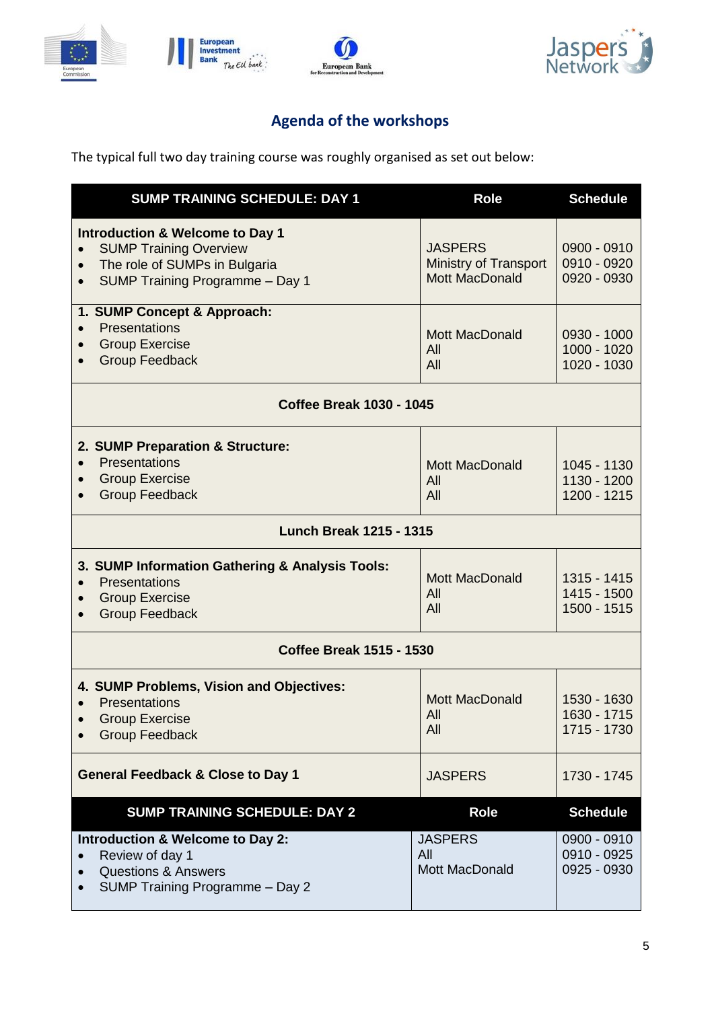







# **Agenda of the workshops**

The typical full two day training course was roughly organised as set out below:

| <b>SUMP TRAINING SCHEDULE: DAY 1</b>                                                                                                                                                   | <b>Role</b>                                                      | <b>Schedule</b>                                              |  |
|----------------------------------------------------------------------------------------------------------------------------------------------------------------------------------------|------------------------------------------------------------------|--------------------------------------------------------------|--|
| <b>Introduction &amp; Welcome to Day 1</b><br><b>SUMP Training Overview</b><br>$\bullet$<br>The role of SUMPs in Bulgaria<br>$\bullet$<br>SUMP Training Programme - Day 1<br>$\bullet$ | <b>JASPERS</b><br>Ministry of Transport<br><b>Mott MacDonald</b> | $0900 - 0910$<br>0910 - 0920<br>0920 - 0930                  |  |
| 1. SUMP Concept & Approach:<br>Presentations<br>$\bullet$<br><b>Group Exercise</b><br>$\bullet$<br><b>Group Feedback</b>                                                               | <b>Mott MacDonald</b><br>All<br>All                              | 0930 - 1000<br>1000 - 1020<br>1020 - 1030                    |  |
| <b>Coffee Break 1030 - 1045</b>                                                                                                                                                        |                                                                  |                                                              |  |
| 2. SUMP Preparation & Structure:<br>Presentations<br>$\bullet$<br><b>Group Exercise</b><br>$\bullet$<br><b>Group Feedback</b>                                                          | <b>Mott MacDonald</b><br>All<br>All                              | 1045 - 1130<br>1130 - 1200<br>1200 - 1215                    |  |
| <b>Lunch Break 1215 - 1315</b>                                                                                                                                                         |                                                                  |                                                              |  |
| 3. SUMP Information Gathering & Analysis Tools:<br>Presentations<br><b>Group Exercise</b><br>$\bullet$<br><b>Group Feedback</b>                                                        | <b>Mott MacDonald</b><br>All<br>All                              | 1315 - 1415<br>1415 - 1500<br>1500 - 1515                    |  |
| <b>Coffee Break 1515 - 1530</b>                                                                                                                                                        |                                                                  |                                                              |  |
| 4. SUMP Problems, Vision and Objectives:<br>Presentations<br><b>Group Exercise</b><br><b>Group Feedback</b>                                                                            | <b>Mott MacDonald</b><br>All<br>All                              | 1530 - 1630<br>1630 - 1715<br>1715 - 1730                    |  |
| <b>General Feedback &amp; Close to Day 1</b>                                                                                                                                           | <b>JASPERS</b>                                                   | 1730 - 1745                                                  |  |
| <b>SUMP TRAINING SCHEDULE: DAY 2</b><br>Introduction & Welcome to Day 2:<br>Review of day 1<br><b>Questions &amp; Answers</b><br>$\bullet$<br>SUMP Training Programme - Day 2          | <b>Role</b><br><b>JASPERS</b><br>All<br>Mott MacDonald           | <b>Schedule</b><br>0900 - 0910<br>0910 - 0925<br>0925 - 0930 |  |